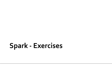## **Spark - Exercises**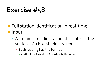- **Full station identification in real-time Input:** 
	- A stream of readings about the status of the stations of a bike sharing system
		- **Each reading has the format** 
			- stationId,# free slots,#used slots, timestamp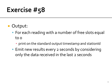- Output:
	- **For each reading with a number of free slots equal** to 0
		- print on the standard output timestamp and stationId
	- **Emit new results every 2 seconds by considering** only the data received in the last 2 seconds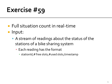- **Full situation count in real-time**
- **Input:** 
	- A stream of readings about the status of the stations of a bike sharing system
		- **Each reading has the format** 
			- stationId,# free slots,#used slots, timestamp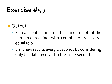- **Output:** 
	- For each batch, print on the standard output the number of readings with a number of free slots equal to 0
	- **Emit new results every 2 seconds by considering** only the data received in the last 2 seconds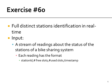- **Full distinct stations identification in real**time
- **Input:** 
	- A stream of readings about the status of the stations of a bike sharing system
		- **Each reading has the format** 
			- stationId,# free slots,#used slots, timestamp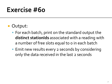- Output:
	- For each batch, print on the standard output the **distinct stationIds** associated with a reading with a number of free slots equal to o in each batch
	- **Emit new results every 2 seconds by considering** only the data received in the last 2 seconds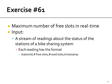- Maximum number of free slots in real-time **Input:** 
	- A stream of readings about the status of the stations of a bike sharing system
		- **Each reading has the format** 
			- stationId,# free slots,#used slots, timestamp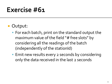#### **Output:**

- For each batch, print on the standard output the maximum value of the field "# free slots" by considering all the readings of the batch (independently of the stationId)
- Emit new results every 2 seconds by considering only the data received in the last 2 seconds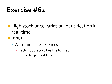- **High stock price variation identification in** real-time
- **Input:** 
	- **A stream of stock prices** 
		- **Each input record has the format** 
			- **· Timestamp, StockID, Price**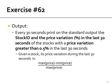#### **Output:**

- Every 30 seconds print on the standard output the **StockID and the price variation (%) in the last 30 seconds** of the stocks with a **price variation greater than 0.5%** in the last 30 sec0nds
	- **Given a stock, its price variation during the last 30** seconds is:

max(price)-min(price)

max(price)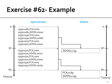#### **Exercise #62- Example**

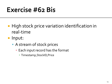### **Exercise #62 Bis**

- **High stock price variation identification in** real-time
- **Input:** 
	- **A** stream of stock prices
		- **Each input record has the format** 
			- **· Timestamp, StockID, Price**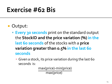### **Exercise #62 Bis**

- **Output:** 
	- **Every 30 seconds** print on the standard output the **StockID and the price variation (%) in the last 60 seconds** of the stocks with a **price variation greater than 0.5% in the last 60 seconds**
		- **Given a stock, its price variation during the last 60** seconds is:

 max(price)-min(price) max(price)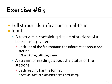- **Full station identification in real-time I**nput:
	- A textual file containing the list of stations of a bike sharing system
		- Each line of the file contains the information about one station

id**\t**longitude**\t**latitude**\t**name

- A stream of readings about the status of the stations
	- **Each reading has the format** 
		- StationId,# free slots,#used slots, timestamp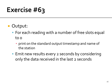- **Output:** 
	- **For each reading with a number of free slots equal** to 0
		- **print on the standard output timestamp and name of** the station
	- **Emit new results every 2 seconds by considering** only the data received in the last 2 seconds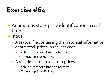- Anomalous stock price identification in realtime
- **Input:** 
	- A textual file containing the historical information about stock prices in the last year
		- **Each input record has the format** 
			- **· Timestamp, StockID, Price**
	- A real time stream of stock prices
		- **Each input record has the format** 
			- **· Timestamp, StockID, Price**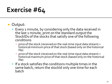#### Output:

- **Exery 1 minute, by considering only the data received in** the last 1 minute, print on the standard output the StockIDs of the stocks that satisfy one of the following conditions
	- price of the stock (received on the real-time input data stream) < historical minimum price of that stock (based only on the historical file)
	- price of the stock (received on the real-time input data stream) > historical maximum price of that stock (based only on the historical file)
- If a stock satisfies the conditions multiple times in the same batch, return the stockId only one time for each batch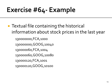#### Exercise #64 - Example

**Textual file containing the historical** information about stock prices in the last year

130000000,FCA,1000 130000000,GOOG,10040 130000060,FCA,1004 130000060,GOOG,10080 130000120,FCA,1001 130000120,GOOG,10100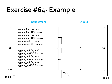#### Exercise #64 - Example

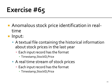- Anomalous stock price identification in realtime
- **Input:** 
	- A textual file containing the historical information about stock prices in the last year
		- **Each input record has the format** 
			- **· Timestamp, StockID, Price**
	- A real time stream of stock prices
		- **Each input record has the format** 
			- **Timestamp, StockID, Price**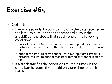#### Output:

- Every 30 seconds, by considering only the data received in the last 1 minute, print on the standard output the StockIDs of the stocks that satisfy one of the following conditions
	- price of the stock (received on the real-time input data stream) < historical minimum price of that stock (based only on the historical file)
	- price of the stock (received on the real-time input data stream) > historical maximum price of that stock (based only on the historical file)
- If a stock satisfies the conditions multiple times in the same batch, return the stockId only one time for each batch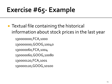# Exercise #65 - Example

**Textual file containing the historical** information about stock prices in the last year

130000000,FCA,1000 130000000,GOOG,10040 130000060,FCA,1004 130000060,GOOG,10080 130000120,FCA,1001 130000120,GOOG,10100